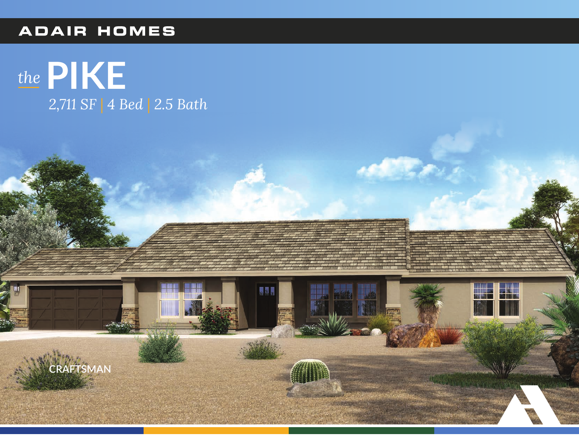### **ADAIR HOMES**

# the PIKE 2,711 SF | 4 Bed | 2.5 Bath